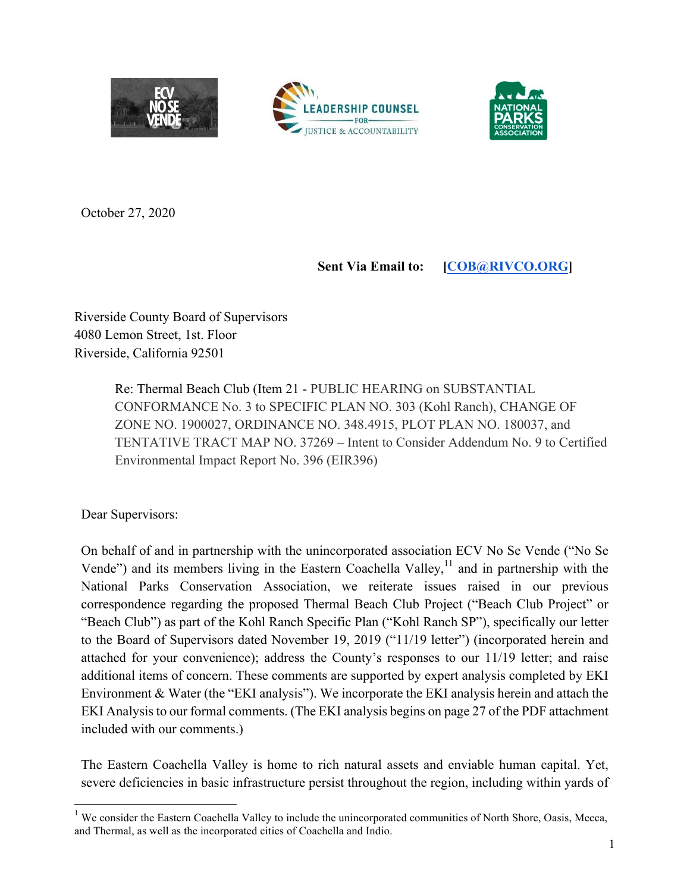





October 27, 2020

### **Sent Via Email to: [COB@RIVCO.ORG]**

Riverside County Board of Supervisors 4080 Lemon Street, 1st. Floor Riverside, California 92501

> Re: Thermal Beach Club (Item 21 - PUBLIC HEARING on SUBSTANTIAL CONFORMANCE No. 3 to SPECIFIC PLAN NO. 303 (Kohl Ranch), CHANGE OF ZONE NO. 1900027, ORDINANCE NO. 348.4915, PLOT PLAN NO. 180037, and TENTATIVE TRACT MAP NO. 37269 – Intent to Consider Addendum No. 9 to Certified Environmental Impact Report No. 396 (EIR396)

Dear Supervisors:

On behalf of and in partnership with the unincorporated association ECV No Se Vende ("No Se Vende") and its members living in the Eastern Coachella Valley, $<sup>11</sup>$  and in partnership with the</sup> National Parks Conservation Association, we reiterate issues raised in our previous correspondence regarding the proposed Thermal Beach Club Project ("Beach Club Project" or "Beach Club") as part of the Kohl Ranch Specific Plan ("Kohl Ranch SP"), specifically our letter to the Board of Supervisors dated November 19, 2019 ("11/19 letter") (incorporated herein and attached for your convenience); address the County's responses to our 11/19 letter; and raise additional items of concern. These comments are supported by expert analysis completed by EKI Environment & Water (the "EKI analysis"). We incorporate the EKI analysis herein and attach the EKI Analysis to our formal comments. (The EKI analysis begins on page 27 of the PDF attachment included with our comments.)

The Eastern Coachella Valley is home to rich natural assets and enviable human capital. Yet, severe deficiencies in basic infrastructure persist throughout the region, including within yards of

We consider the Eastern Coachella Valley to include the unincorporated communities of North Shore, Oasis, Mecca, and Thermal, as well as the incorporated cities of Coachella and Indio.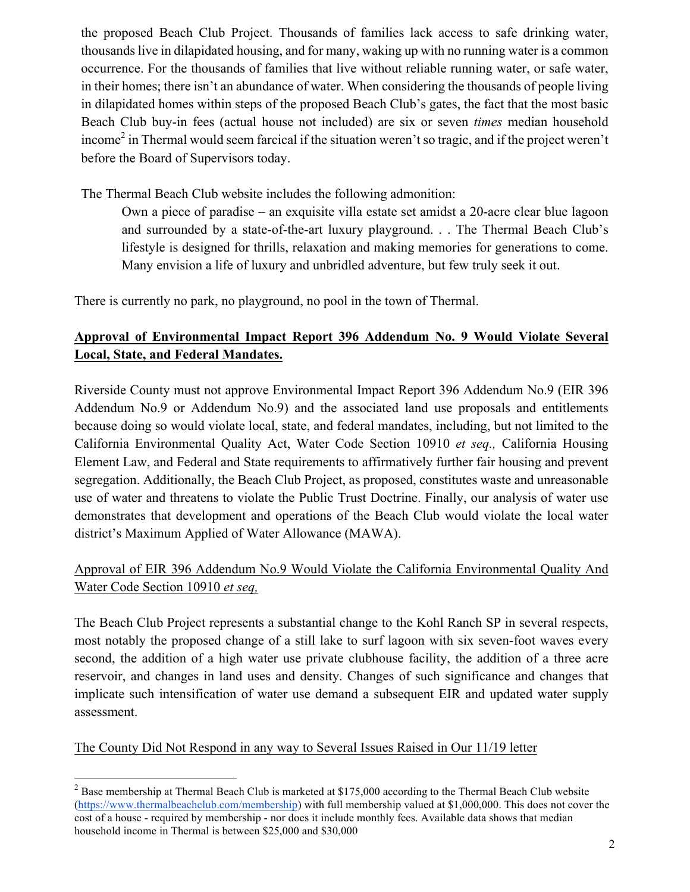the proposed Beach Club Project. Thousands of families lack access to safe drinking water, thousands live in dilapidated housing, and for many, waking up with no running water is a common occurrence. For the thousands of families that live without reliable running water, or safe water, in their homes; there isn't an abundance of water. When considering the thousands of people living in dilapidated homes within steps of the proposed Beach Club's gates, the fact that the most basic Beach Club buy-in fees (actual house not included) are six or seven *times* median household income<sup>2</sup> in Thermal would seem farcical if the situation weren't so tragic, and if the project weren't before the Board of Supervisors today.

The Thermal Beach Club website includes the following admonition:

Own a piece of paradise – an exquisite villa estate set amidst a 20-acre clear blue lagoon and surrounded by a state-of-the-art luxury playground. . . The Thermal Beach Club's lifestyle is designed for thrills, relaxation and making memories for generations to come. Many envision a life of luxury and unbridled adventure, but few truly seek it out.

There is currently no park, no playground, no pool in the town of Thermal.

## **Approval of Environmental Impact Report 396 Addendum No. 9 Would Violate Several Local, State, and Federal Mandates.**

Riverside County must not approve Environmental Impact Report 396 Addendum No.9 (EIR 396 Addendum No.9 or Addendum No.9) and the associated land use proposals and entitlements because doing so would violate local, state, and federal mandates, including, but not limited to the California Environmental Quality Act, Water Code Section 10910 *et seq.,* California Housing Element Law, and Federal and State requirements to affirmatively further fair housing and prevent segregation. Additionally, the Beach Club Project, as proposed, constitutes waste and unreasonable use of water and threatens to violate the Public Trust Doctrine. Finally, our analysis of water use demonstrates that development and operations of the Beach Club would violate the local water district's Maximum Applied of Water Allowance (MAWA).

### Approval of EIR 396 Addendum No.9 Would Violate the California Environmental Quality And Water Code Section 10910 *et seq,*

The Beach Club Project represents a substantial change to the Kohl Ranch SP in several respects, most notably the proposed change of a still lake to surf lagoon with six seven-foot waves every second, the addition of a high water use private clubhouse facility, the addition of a three acre reservoir, and changes in land uses and density. Changes of such significance and changes that implicate such intensification of water use demand a subsequent EIR and updated water supply assessment.

The County Did Not Respond in any way to Several Issues Raised in Our 11/19 letter

 $2$  Base membership at Thermal Beach Club is marketed at \$175,000 according to the Thermal Beach Club website (https://www.thermalbeachclub.com/membership) with full membership valued at \$1,000,000. This does not cover the cost of a house - required by membership - nor does it include monthly fees. Available data shows that median household income in Thermal is between \$25,000 and \$30,000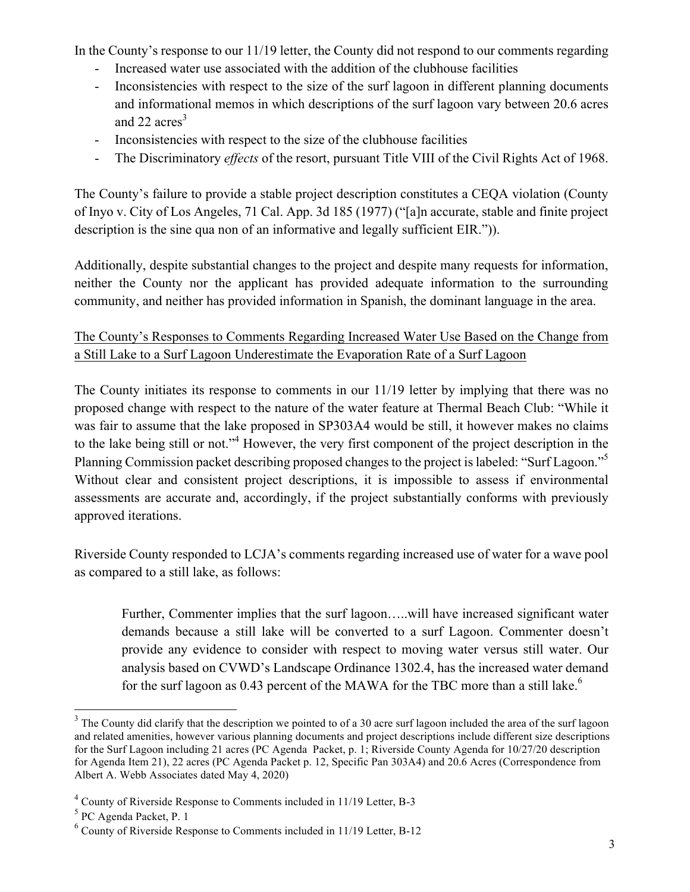In the County's response to our 11/19 letter, the County did not respond to our comments regarding

- Increased water use associated with the addition of the clubhouse facilities
- Inconsistencies with respect to the size of the surf lagoon in different planning documents and informational memos in which descriptions of the surf lagoon vary between 20.6 acres and 22  $\arccos^3$
- Inconsistencies with respect to the size of the clubhouse facilities
- The Discriminatory *effects* of the resort, pursuant Title VIII of the Civil Rights Act of 1968.

The County's failure to provide a stable project description constitutes a CEQA violation (County of Inyo v. City of Los Angeles, 71 Cal. App. 3d 185 (1977) ("[a]n accurate, stable and finite project description is the sine qua non of an informative and legally sufficient EIR.")).

Additionally, despite substantial changes to the project and despite many requests for information, neither the County nor the applicant has provided adequate information to the surrounding community, and neither has provided information in Spanish, the dominant language in the area.

## The County's Responses to Comments Regarding Increased Water Use Based on the Change from a Still Lake to a Surf Lagoon Underestimate the Evaporation Rate of a Surf Lagoon

The County initiates its response to comments in our 11/19 letter by implying that there was no proposed change with respect to the nature of the water feature at Thermal Beach Club: "While it was fair to assume that the lake proposed in SP303A4 would be still, it however makes no claims to the lake being still or not."4 However, the very first component of the project description in the Planning Commission packet describing proposed changes to the project is labeled: "Surf Lagoon."5 Without clear and consistent project descriptions, it is impossible to assess if environmental assessments are accurate and, accordingly, if the project substantially conforms with previously approved iterations.

Riverside County responded to LCJA's comments regarding increased use of water for a wave pool as compared to a still lake, as follows:

Further, Commenter implies that the surf lagoon…..will have increased significant water demands because a still lake will be converted to a surf Lagoon. Commenter doesn't provide any evidence to consider with respect to moving water versus still water. Our analysis based on CVWD's Landscape Ordinance 1302.4, has the increased water demand for the surf lagoon as  $0.43$  percent of the MAWA for the TBC more than a still lake.<sup>6</sup>

<sup>&</sup>lt;sup>3</sup> The County did clarify that the description we pointed to of a 30 acre surf lagoon included the area of the surf lagoon and related amenities, however various planning documents and project descriptions include different size descriptions for the Surf Lagoon including 21 acres (PC Agenda Packet, p. 1; Riverside County Agenda for 10/27/20 description for Agenda Item 21), 22 acres (PC Agenda Packet p. 12, Specific Pan 303A4) and 20.6 Acres (Correspondence from Albert A. Webb Associates dated May 4, 2020)

<sup>4</sup> County of Riverside Response to Comments included in 11/19 Letter, B-3

<sup>5</sup> PC Agenda Packet, P. 1

 $6$  County of Riverside Response to Comments included in 11/19 Letter, B-12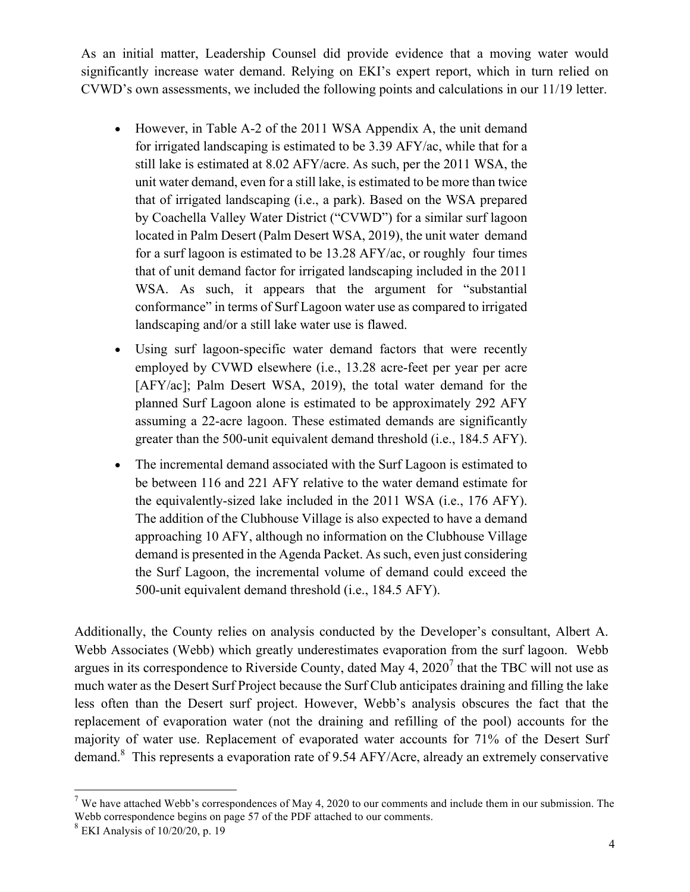As an initial matter, Leadership Counsel did provide evidence that a moving water would significantly increase water demand. Relying on EKI's expert report, which in turn relied on CVWD's own assessments, we included the following points and calculations in our 11/19 letter.

- However, in Table A-2 of the 2011 WSA Appendix A, the unit demand for irrigated landscaping is estimated to be 3.39 AFY/ac, while that for a still lake is estimated at 8.02 AFY/acre. As such, per the 2011 WSA, the unit water demand, even for a still lake, is estimated to be more than twice that of irrigated landscaping (i.e., a park). Based on the WSA prepared by Coachella Valley Water District ("CVWD") for a similar surf lagoon located in Palm Desert (Palm Desert WSA, 2019), the unit water demand for a surf lagoon is estimated to be 13.28 AFY/ac, or roughly four times that of unit demand factor for irrigated landscaping included in the 2011 WSA. As such, it appears that the argument for "substantial conformance" in terms of Surf Lagoon water use as compared to irrigated landscaping and/or a still lake water use is flawed.
- Using surf lagoon-specific water demand factors that were recently employed by CVWD elsewhere (i.e., 13.28 acre-feet per year per acre [AFY/ac]; Palm Desert WSA, 2019), the total water demand for the planned Surf Lagoon alone is estimated to be approximately 292 AFY assuming a 22-acre lagoon. These estimated demands are significantly greater than the 500-unit equivalent demand threshold (i.e., 184.5 AFY).
- The incremental demand associated with the Surf Lagoon is estimated to be between 116 and 221 AFY relative to the water demand estimate for the equivalently-sized lake included in the 2011 WSA (i.e., 176 AFY). The addition of the Clubhouse Village is also expected to have a demand approaching 10 AFY, although no information on the Clubhouse Village demand is presented in the Agenda Packet. As such, even just considering the Surf Lagoon, the incremental volume of demand could exceed the 500-unit equivalent demand threshold (i.e., 184.5 AFY).

Additionally, the County relies on analysis conducted by the Developer's consultant, Albert A. Webb Associates (Webb) which greatly underestimates evaporation from the surf lagoon. Webb argues in its correspondence to Riverside County, dated May 4,  $2020<sup>7</sup>$  that the TBC will not use as much water as the Desert Surf Project because the Surf Club anticipates draining and filling the lake less often than the Desert surf project. However, Webb's analysis obscures the fact that the replacement of evaporation water (not the draining and refilling of the pool) accounts for the majority of water use. Replacement of evaporated water accounts for 71% of the Desert Surf demand.<sup>8</sup> This represents a evaporation rate of 9.54 AFY/Acre, already an extremely conservative

 $7$  We have attached Webb's correspondences of May 4, 2020 to our comments and include them in our submission. The Webb correspondence begins on page 57 of the PDF attached to our comments. 8 EKI Analysis of 10/20/20, p. 19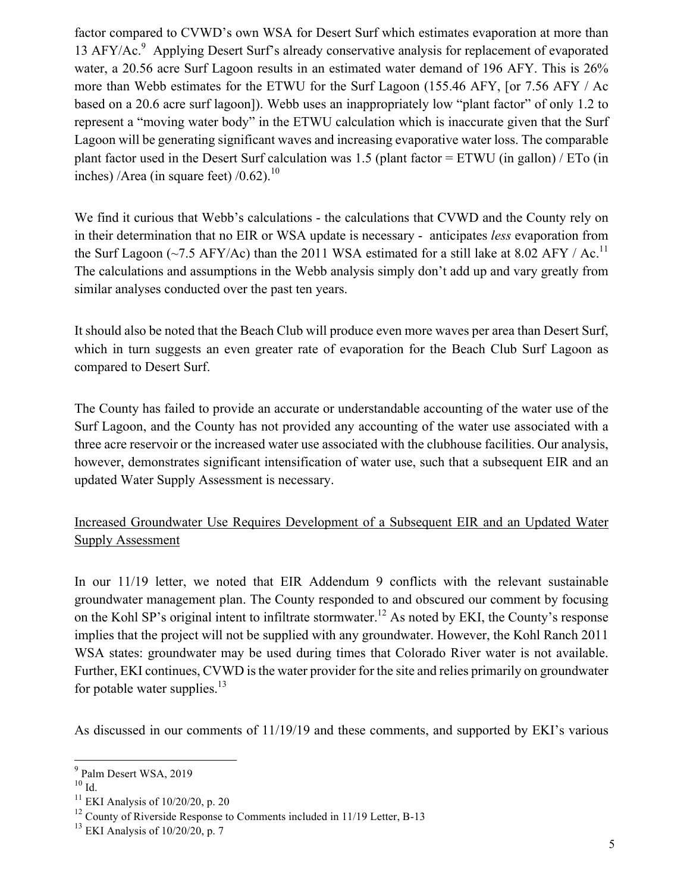factor compared to CVWD's own WSA for Desert Surf which estimates evaporation at more than 13 AFY/Ac.<sup>9</sup> Applying Desert Surf's already conservative analysis for replacement of evaporated water, a 20.56 acre Surf Lagoon results in an estimated water demand of 196 AFY. This is 26% more than Webb estimates for the ETWU for the Surf Lagoon (155.46 AFY, [or 7.56 AFY / Ac based on a 20.6 acre surf lagoon]). Webb uses an inappropriately low "plant factor" of only 1.2 to represent a "moving water body" in the ETWU calculation which is inaccurate given that the Surf Lagoon will be generating significant waves and increasing evaporative water loss. The comparable plant factor used in the Desert Surf calculation was 1.5 (plant factor = ETWU (in gallon) / ETo (in inches) /Area (in square feet) / $0.62$ ).<sup>10</sup>

We find it curious that Webb's calculations - the calculations that CVWD and the County rely on in their determination that no EIR or WSA update is necessary - anticipates *less* evaporation from the Surf Lagoon (~7.5 AFY/Ac) than the 2011 WSA estimated for a still lake at 8.02 AFY / Ac.<sup>11</sup> The calculations and assumptions in the Webb analysis simply don't add up and vary greatly from similar analyses conducted over the past ten years.

It should also be noted that the Beach Club will produce even more waves per area than Desert Surf, which in turn suggests an even greater rate of evaporation for the Beach Club Surf Lagoon as compared to Desert Surf.

The County has failed to provide an accurate or understandable accounting of the water use of the Surf Lagoon, and the County has not provided any accounting of the water use associated with a three acre reservoir or the increased water use associated with the clubhouse facilities. Our analysis, however, demonstrates significant intensification of water use, such that a subsequent EIR and an updated Water Supply Assessment is necessary.

### Increased Groundwater Use Requires Development of a Subsequent EIR and an Updated Water Supply Assessment

In our 11/19 letter, we noted that EIR Addendum 9 conflicts with the relevant sustainable groundwater management plan. The County responded to and obscured our comment by focusing on the Kohl SP's original intent to infiltrate stormwater.<sup>12</sup> As noted by EKI, the County's response implies that the project will not be supplied with any groundwater. However, the Kohl Ranch 2011 WSA states: groundwater may be used during times that Colorado River water is not available. Further, EKI continues, CVWD is the water provider for the site and relies primarily on groundwater for potable water supplies. $13$ 

As discussed in our comments of 11/19/19 and these comments, and supported by EKI's various

 <sup>9</sup> Palm Desert WSA, 2019

 $^{10}$  Id.  $\,$ 

 $11$  EKI Analysis of 10/20/20, p. 20

 $12$  County of Riverside Response to Comments included in 11/19 Letter, B-13

 $13$  EKI Analysis of 10/20/20, p. 7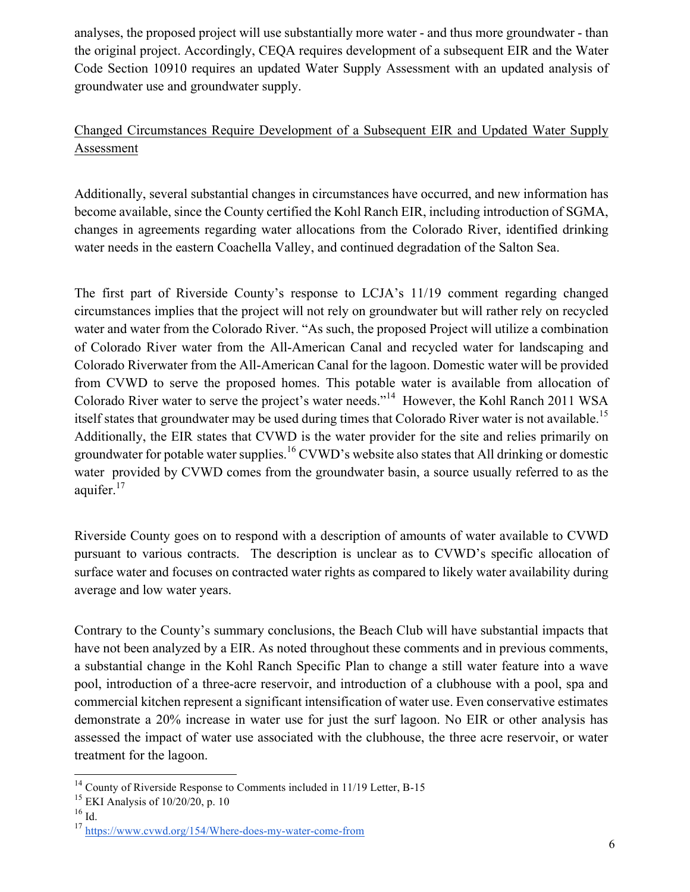analyses, the proposed project will use substantially more water - and thus more groundwater - than the original project. Accordingly, CEQA requires development of a subsequent EIR and the Water Code Section 10910 requires an updated Water Supply Assessment with an updated analysis of groundwater use and groundwater supply.

# Changed Circumstances Require Development of a Subsequent EIR and Updated Water Supply Assessment

Additionally, several substantial changes in circumstances have occurred, and new information has become available, since the County certified the Kohl Ranch EIR, including introduction of SGMA, changes in agreements regarding water allocations from the Colorado River, identified drinking water needs in the eastern Coachella Valley, and continued degradation of the Salton Sea.

The first part of Riverside County's response to LCJA's 11/19 comment regarding changed circumstances implies that the project will not rely on groundwater but will rather rely on recycled water and water from the Colorado River. "As such, the proposed Project will utilize a combination of Colorado River water from the All-American Canal and recycled water for landscaping and Colorado Riverwater from the All-American Canal for the lagoon. Domestic water will be provided from CVWD to serve the proposed homes. This potable water is available from allocation of Colorado River water to serve the project's water needs."14 However, the Kohl Ranch 2011 WSA itself states that groundwater may be used during times that Colorado River water is not available.<sup>15</sup> Additionally, the EIR states that CVWD is the water provider for the site and relies primarily on groundwater for potable water supplies.<sup>16</sup> CVWD's website also states that All drinking or domestic water provided by CVWD comes from the groundwater basin, a source usually referred to as the aquifer. $17$ 

Riverside County goes on to respond with a description of amounts of water available to CVWD pursuant to various contracts. The description is unclear as to CVWD's specific allocation of surface water and focuses on contracted water rights as compared to likely water availability during average and low water years.

Contrary to the County's summary conclusions, the Beach Club will have substantial impacts that have not been analyzed by a EIR. As noted throughout these comments and in previous comments, a substantial change in the Kohl Ranch Specific Plan to change a still water feature into a wave pool, introduction of a three-acre reservoir, and introduction of a clubhouse with a pool, spa and commercial kitchen represent a significant intensification of water use. Even conservative estimates demonstrate a 20% increase in water use for just the surf lagoon. No EIR or other analysis has assessed the impact of water use associated with the clubhouse, the three acre reservoir, or water treatment for the lagoon.

<sup>&</sup>lt;sup>14</sup> County of Riverside Response to Comments included in 11/19 Letter, B-15

 $15$  EKI Analysis of 10/20/20, p. 10

 $16$  Id.

<sup>17</sup> https://www.cvwd.org/154/Where-does-my-water-come-from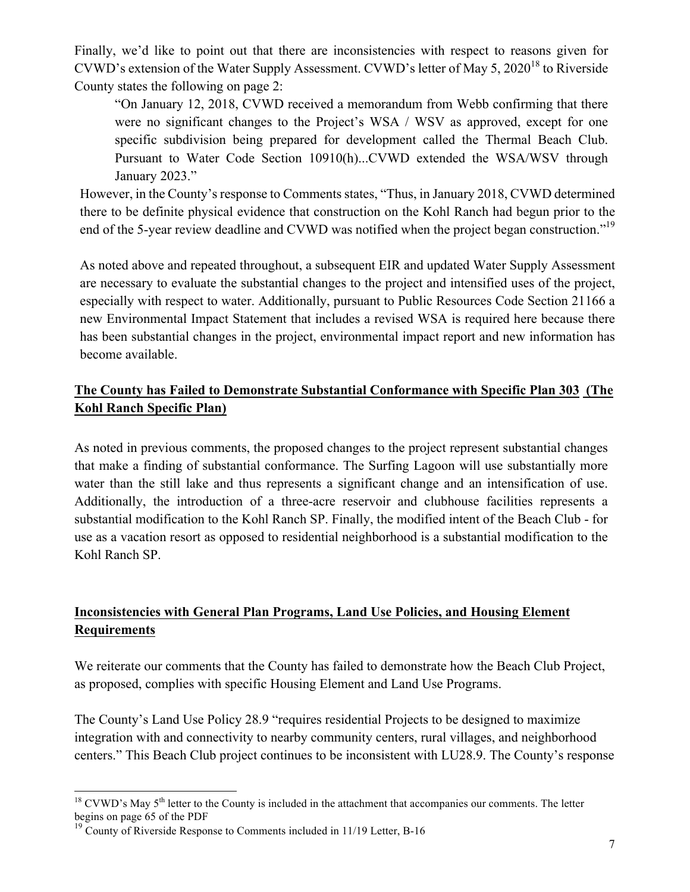Finally, we'd like to point out that there are inconsistencies with respect to reasons given for CVWD's extension of the Water Supply Assessment. CVWD's letter of May 5, 2020<sup>18</sup> to Riverside County states the following on page 2:

"On January 12, 2018, CVWD received a memorandum from Webb confirming that there were no significant changes to the Project's WSA / WSV as approved, except for one specific subdivision being prepared for development called the Thermal Beach Club. Pursuant to Water Code Section 10910(h)...CVWD extended the WSA/WSV through January 2023."

However, in the County's response to Comments states, "Thus, in January 2018, CVWD determined there to be definite physical evidence that construction on the Kohl Ranch had begun prior to the end of the 5-year review deadline and CVWD was notified when the project began construction."<sup>19</sup>

As noted above and repeated throughout, a subsequent EIR and updated Water Supply Assessment are necessary to evaluate the substantial changes to the project and intensified uses of the project, especially with respect to water. Additionally, pursuant to Public Resources Code Section 21166 a new Environmental Impact Statement that includes a revised WSA is required here because there has been substantial changes in the project, environmental impact report and new information has become available.

### **The County has Failed to Demonstrate Substantial Conformance with Specific Plan 303 (The Kohl Ranch Specific Plan)**

As noted in previous comments, the proposed changes to the project represent substantial changes that make a finding of substantial conformance. The Surfing Lagoon will use substantially more water than the still lake and thus represents a significant change and an intensification of use. Additionally, the introduction of a three-acre reservoir and clubhouse facilities represents a substantial modification to the Kohl Ranch SP. Finally, the modified intent of the Beach Club - for use as a vacation resort as opposed to residential neighborhood is a substantial modification to the Kohl Ranch SP.

## **Inconsistencies with General Plan Programs, Land Use Policies, and Housing Element Requirements**

We reiterate our comments that the County has failed to demonstrate how the Beach Club Project, as proposed, complies with specific Housing Element and Land Use Programs.

The County's Land Use Policy 28.9 "requires residential Projects to be designed to maximize integration with and connectivity to nearby community centers, rural villages, and neighborhood centers." This Beach Club project continues to be inconsistent with LU28.9. The County's response

 $18$  CVWD's May  $5<sup>th</sup>$  letter to the County is included in the attachment that accompanies our comments. The letter begins on page 65 of the PDF

 $19$  County of Riverside Response to Comments included in 11/19 Letter, B-16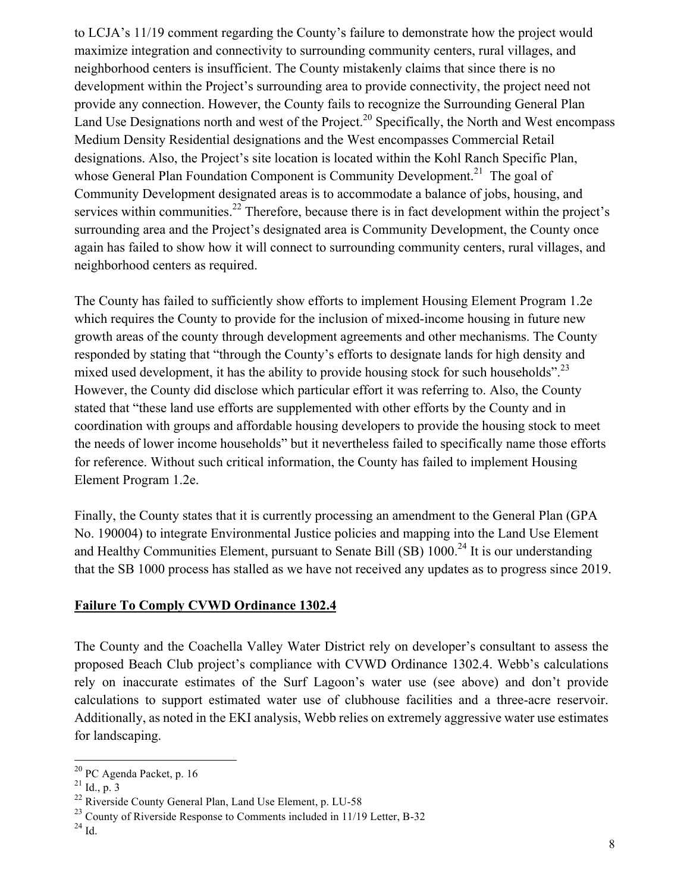to LCJA's 11/19 comment regarding the County's failure to demonstrate how the project would maximize integration and connectivity to surrounding community centers, rural villages, and neighborhood centers is insufficient. The County mistakenly claims that since there is no development within the Project's surrounding area to provide connectivity, the project need not provide any connection. However, the County fails to recognize the Surrounding General Plan Land Use Designations north and west of the Project.<sup>20</sup> Specifically, the North and West encompass Medium Density Residential designations and the West encompasses Commercial Retail designations. Also, the Project's site location is located within the Kohl Ranch Specific Plan, whose General Plan Foundation Component is Community Development.<sup>21</sup> The goal of Community Development designated areas is to accommodate a balance of jobs, housing, and services within communities.<sup>22</sup> Therefore, because there is in fact development within the project's surrounding area and the Project's designated area is Community Development, the County once again has failed to show how it will connect to surrounding community centers, rural villages, and neighborhood centers as required.

The County has failed to sufficiently show efforts to implement Housing Element Program 1.2e which requires the County to provide for the inclusion of mixed-income housing in future new growth areas of the county through development agreements and other mechanisms. The County responded by stating that "through the County's efforts to designate lands for high density and mixed used development, it has the ability to provide housing stock for such households".<sup>23</sup> However, the County did disclose which particular effort it was referring to. Also, the County stated that "these land use efforts are supplemented with other efforts by the County and in coordination with groups and affordable housing developers to provide the housing stock to meet the needs of lower income households" but it nevertheless failed to specifically name those efforts for reference. Without such critical information, the County has failed to implement Housing Element Program 1.2e.

Finally, the County states that it is currently processing an amendment to the General Plan (GPA No. 190004) to integrate Environmental Justice policies and mapping into the Land Use Element and Healthy Communities Element, pursuant to Senate Bill (SB) 1000.<sup>24</sup> It is our understanding that the SB 1000 process has stalled as we have not received any updates as to progress since 2019.

#### **Failure To Comply CVWD Ordinance 1302.4**

The County and the Coachella Valley Water District rely on developer's consultant to assess the proposed Beach Club project's compliance with CVWD Ordinance 1302.4. Webb's calculations rely on inaccurate estimates of the Surf Lagoon's water use (see above) and don't provide calculations to support estimated water use of clubhouse facilities and a three-acre reservoir. Additionally, as noted in the EKI analysis, Webb relies on extremely aggressive water use estimates for landscaping.

 <sup>20</sup> PC Agenda Packet, p. 16

 $^{21}$  Id., p.  $3$ 

<sup>&</sup>lt;sup>22</sup> Riverside County General Plan, Land Use Element, p. LU-58

 $^{23}$  County of Riverside Response to Comments included in 11/19 Letter, B-32

 $^{24}$  Id.  $\,$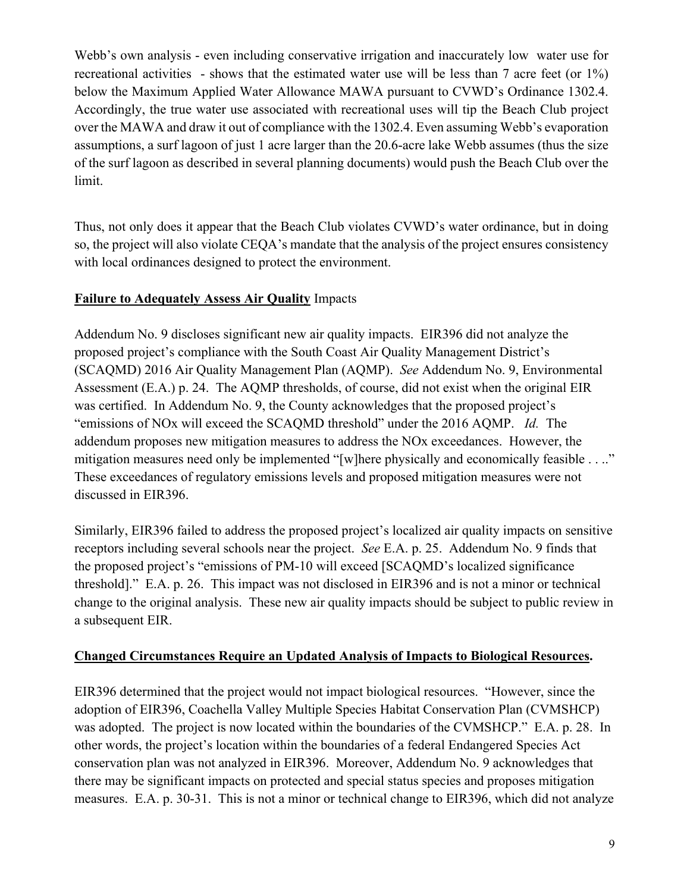Webb's own analysis - even including conservative irrigation and inaccurately low water use for recreational activities - shows that the estimated water use will be less than 7 acre feet (or 1%) below the Maximum Applied Water Allowance MAWA pursuant to CVWD's Ordinance 1302.4. Accordingly, the true water use associated with recreational uses will tip the Beach Club project over the MAWA and draw it out of compliance with the 1302.4. Even assuming Webb's evaporation assumptions, a surf lagoon of just 1 acre larger than the 20.6-acre lake Webb assumes (thus the size of the surf lagoon as described in several planning documents) would push the Beach Club over the limit.

Thus, not only does it appear that the Beach Club violates CVWD's water ordinance, but in doing so, the project will also violate CEQA's mandate that the analysis of the project ensures consistency with local ordinances designed to protect the environment.

### **Failure to Adequately Assess Air Quality** Impacts

Addendum No. 9 discloses significant new air quality impacts. EIR396 did not analyze the proposed project's compliance with the South Coast Air Quality Management District's (SCAQMD) 2016 Air Quality Management Plan (AQMP). *See* Addendum No. 9, Environmental Assessment (E.A.) p. 24. The AQMP thresholds, of course, did not exist when the original EIR was certified. In Addendum No. 9, the County acknowledges that the proposed project's "emissions of NOx will exceed the SCAQMD threshold" under the 2016 AQMP. *Id.* The addendum proposes new mitigation measures to address the NOx exceedances. However, the mitigation measures need only be implemented "[w]here physically and economically feasible . . .." These exceedances of regulatory emissions levels and proposed mitigation measures were not discussed in EIR396.

Similarly, EIR396 failed to address the proposed project's localized air quality impacts on sensitive receptors including several schools near the project. *See* E.A. p. 25. Addendum No. 9 finds that the proposed project's "emissions of PM-10 will exceed [SCAQMD's localized significance threshold]." E.A. p. 26. This impact was not disclosed in EIR396 and is not a minor or technical change to the original analysis. These new air quality impacts should be subject to public review in a subsequent EIR.

### **Changed Circumstances Require an Updated Analysis of Impacts to Biological Resources.**

EIR396 determined that the project would not impact biological resources. "However, since the adoption of EIR396, Coachella Valley Multiple Species Habitat Conservation Plan (CVMSHCP) was adopted. The project is now located within the boundaries of the CVMSHCP." E.A. p. 28. In other words, the project's location within the boundaries of a federal Endangered Species Act conservation plan was not analyzed in EIR396. Moreover, Addendum No. 9 acknowledges that there may be significant impacts on protected and special status species and proposes mitigation measures. E.A. p. 30-31. This is not a minor or technical change to EIR396, which did not analyze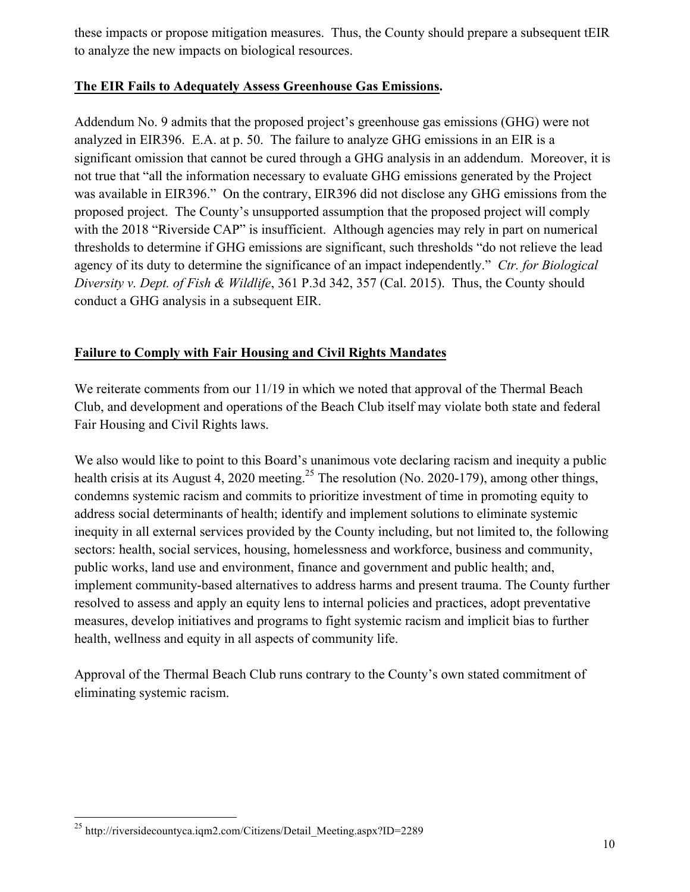these impacts or propose mitigation measures. Thus, the County should prepare a subsequent tEIR to analyze the new impacts on biological resources.

### **The EIR Fails to Adequately Assess Greenhouse Gas Emissions.**

Addendum No. 9 admits that the proposed project's greenhouse gas emissions (GHG) were not analyzed in EIR396. E.A. at p. 50. The failure to analyze GHG emissions in an EIR is a significant omission that cannot be cured through a GHG analysis in an addendum. Moreover, it is not true that "all the information necessary to evaluate GHG emissions generated by the Project was available in EIR396." On the contrary, EIR396 did not disclose any GHG emissions from the proposed project. The County's unsupported assumption that the proposed project will comply with the 2018 "Riverside CAP" is insufficient. Although agencies may rely in part on numerical thresholds to determine if GHG emissions are significant, such thresholds "do not relieve the lead agency of its duty to determine the significance of an impact independently." *Ctr. for Biological Diversity v. Dept. of Fish & Wildlife*, 361 P.3d 342, 357 (Cal. 2015). Thus, the County should conduct a GHG analysis in a subsequent EIR.

# **Failure to Comply with Fair Housing and Civil Rights Mandates**

We reiterate comments from our 11/19 in which we noted that approval of the Thermal Beach Club, and development and operations of the Beach Club itself may violate both state and federal Fair Housing and Civil Rights laws.

We also would like to point to this Board's unanimous vote declaring racism and inequity a public health crisis at its August 4, 2020 meeting.<sup>25</sup> The resolution (No. 2020-179), among other things, condemns systemic racism and commits to prioritize investment of time in promoting equity to address social determinants of health; identify and implement solutions to eliminate systemic inequity in all external services provided by the County including, but not limited to, the following sectors: health, social services, housing, homelessness and workforce, business and community, public works, land use and environment, finance and government and public health; and, implement community-based alternatives to address harms and present trauma. The County further resolved to assess and apply an equity lens to internal policies and practices, adopt preventative measures, develop initiatives and programs to fight systemic racism and implicit bias to further health, wellness and equity in all aspects of community life.

Approval of the Thermal Beach Club runs contrary to the County's own stated commitment of eliminating systemic racism.

 <sup>25</sup> http://riversidecountyca.iqm2.com/Citizens/Detail\_Meeting.aspx?ID=2289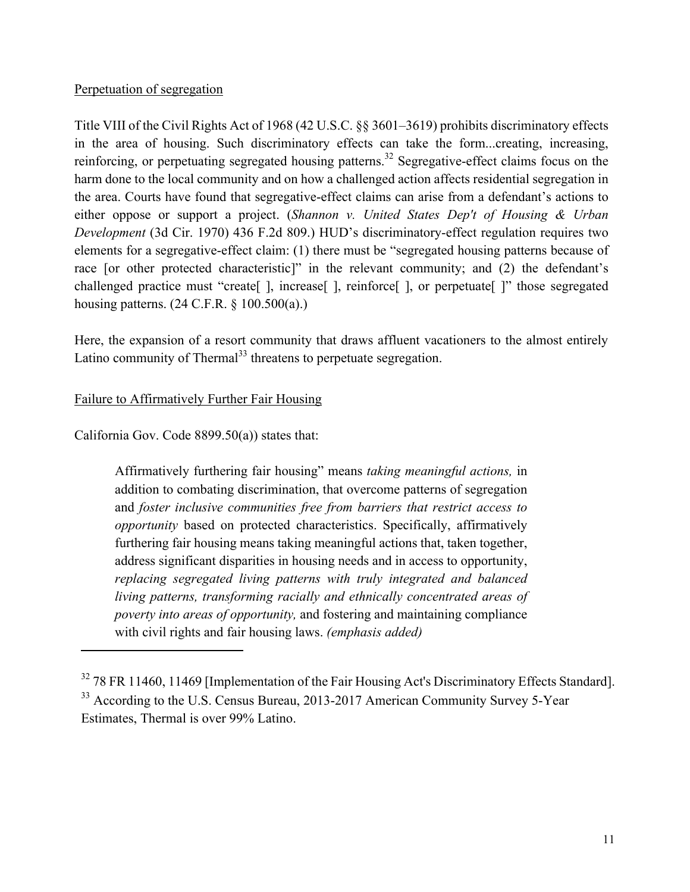#### Perpetuation of segregation

Title VIII of the Civil Rights Act of 1968 (42 U.S.C. §§ 3601–3619) prohibits discriminatory effects in the area of housing. Such discriminatory effects can take the form...creating, increasing, reinforcing, or perpetuating segregated housing patterns.<sup>32</sup> Segregative-effect claims focus on the harm done to the local community and on how a challenged action affects residential segregation in the area. Courts have found that segregative-effect claims can arise from a defendant's actions to either oppose or support a project. (*Shannon v. United States Dep't of Housing & Urban Development* (3d Cir. 1970) 436 F.2d 809.) HUD's discriminatory-effect regulation requires two elements for a segregative-effect claim: (1) there must be "segregated housing patterns because of race [or other protected characteristic]" in the relevant community; and (2) the defendant's challenged practice must "create[ ], increase[ ], reinforce[ ], or perpetuate[ ]" those segregated housing patterns. (24 C.F.R. § 100.500(a).)

Here, the expansion of a resort community that draws affluent vacationers to the almost entirely Latino community of Thermal<sup>33</sup> threatens to perpetuate segregation.

#### Failure to Affirmatively Further Fair Housing

California Gov. Code 8899.50(a)) states that:

Affirmatively furthering fair housing" means *taking meaningful actions,* in addition to combating discrimination, that overcome patterns of segregation and *foster inclusive communities free from barriers that restrict access to opportunity* based on protected characteristics. Specifically, affirmatively furthering fair housing means taking meaningful actions that, taken together, address significant disparities in housing needs and in access to opportunity, *replacing segregated living patterns with truly integrated and balanced living patterns, transforming racially and ethnically concentrated areas of poverty into areas of opportunity,* and fostering and maintaining compliance with civil rights and fair housing laws. *(emphasis added)* 

<sup>&</sup>lt;sup>32</sup> 78 FR 11460, 11469 [Implementation of the Fair Housing Act's Discriminatory Effects Standard]. <sup>33</sup> According to the U.S. Census Bureau, 2013-2017 American Community Survey 5-Year Estimates, Thermal is over 99% Latino.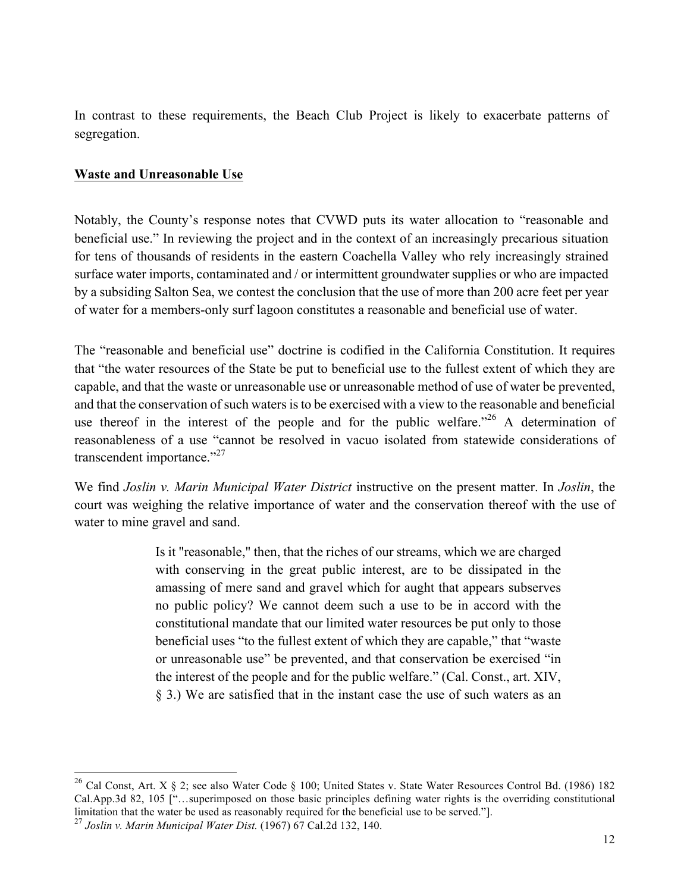In contrast to these requirements, the Beach Club Project is likely to exacerbate patterns of segregation.

#### **Waste and Unreasonable Use**

Notably, the County's response notes that CVWD puts its water allocation to "reasonable and beneficial use." In reviewing the project and in the context of an increasingly precarious situation for tens of thousands of residents in the eastern Coachella Valley who rely increasingly strained surface water imports, contaminated and / or intermittent groundwater supplies or who are impacted by a subsiding Salton Sea, we contest the conclusion that the use of more than 200 acre feet per year of water for a members-only surf lagoon constitutes a reasonable and beneficial use of water.

The "reasonable and beneficial use" doctrine is codified in the California Constitution. It requires that "the water resources of the State be put to beneficial use to the fullest extent of which they are capable, and that the waste or unreasonable use or unreasonable method of use of water be prevented, and that the conservation of such waters is to be exercised with a view to the reasonable and beneficial use thereof in the interest of the people and for the public welfare.<sup>"26</sup> A determination of reasonableness of a use "cannot be resolved in vacuo isolated from statewide considerations of transcendent importance."<sup>27</sup>

We find *Joslin v. Marin Municipal Water District* instructive on the present matter. In *Joslin*, the court was weighing the relative importance of water and the conservation thereof with the use of water to mine gravel and sand.

> Is it "reasonable," then, that the riches of our streams, which we are charged with conserving in the great public interest, are to be dissipated in the amassing of mere sand and gravel which for aught that appears subserves no public policy? We cannot deem such a use to be in accord with the constitutional mandate that our limited water resources be put only to those beneficial uses "to the fullest extent of which they are capable," that "waste or unreasonable use" be prevented, and that conservation be exercised "in the interest of the people and for the public welfare." (Cal. Const., art. XIV, § 3.) We are satisfied that in the instant case the use of such waters as an

<sup>&</sup>lt;sup>26</sup> Cal Const, Art. X § 2; see also Water Code § 100; United States v. State Water Resources Control Bd. (1986) 182 Cal.App.3d 82, 105 ["…superimposed on those basic principles defining water rights is the overriding constitutional limitation that the water be used as reasonably required for the beneficial use to be served."].

<sup>27</sup> *Joslin v. Marin Municipal Water Dist.* (1967) 67 Cal.2d 132, 140.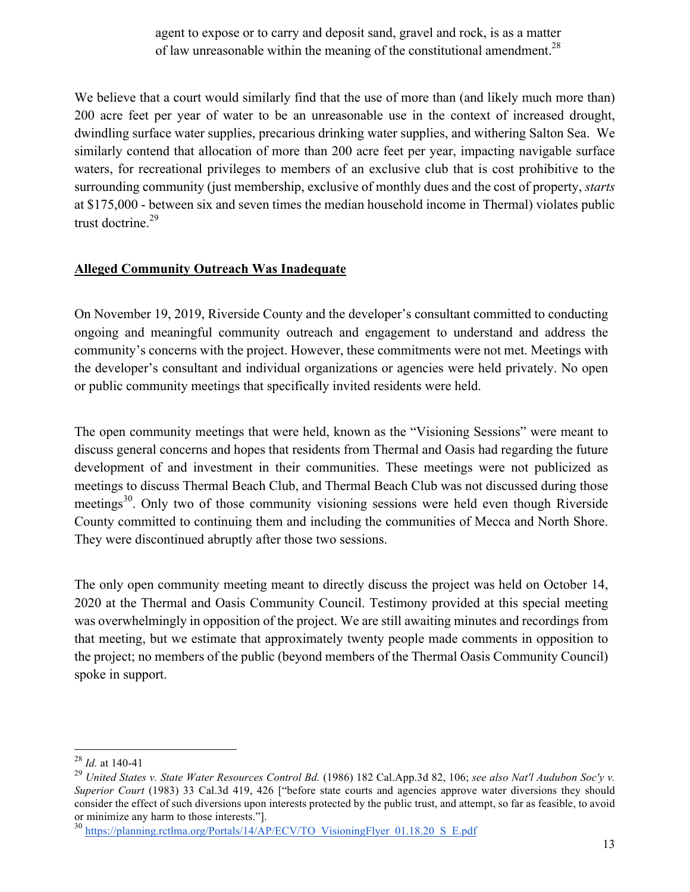agent to expose or to carry and deposit sand, gravel and rock, is as a matter of law unreasonable within the meaning of the constitutional amendment.<sup>28</sup>

We believe that a court would similarly find that the use of more than (and likely much more than) 200 acre feet per year of water to be an unreasonable use in the context of increased drought, dwindling surface water supplies, precarious drinking water supplies, and withering Salton Sea. We similarly contend that allocation of more than 200 acre feet per year, impacting navigable surface waters, for recreational privileges to members of an exclusive club that is cost prohibitive to the surrounding community (just membership, exclusive of monthly dues and the cost of property, *starts* at \$175,000 - between six and seven times the median household income in Thermal) violates public trust doctrine.<sup>29</sup>

#### **Alleged Community Outreach Was Inadequate**

On November 19, 2019, Riverside County and the developer's consultant committed to conducting ongoing and meaningful community outreach and engagement to understand and address the community's concerns with the project. However, these commitments were not met. Meetings with the developer's consultant and individual organizations or agencies were held privately. No open or public community meetings that specifically invited residents were held.

The open community meetings that were held, known as the "Visioning Sessions" were meant to discuss general concerns and hopes that residents from Thermal and Oasis had regarding the future development of and investment in their communities. These meetings were not publicized as meetings to discuss Thermal Beach Club, and Thermal Beach Club was not discussed during those meetings<sup>30</sup>. Only two of those community visioning sessions were held even though Riverside County committed to continuing them and including the communities of Mecca and North Shore. They were discontinued abruptly after those two sessions.

The only open community meeting meant to directly discuss the project was held on October 14, 2020 at the Thermal and Oasis Community Council. Testimony provided at this special meeting was overwhelmingly in opposition of the project. We are still awaiting minutes and recordings from that meeting, but we estimate that approximately twenty people made comments in opposition to the project; no members of the public (beyond members of the Thermal Oasis Community Council) spoke in support.

 <sup>28</sup> *Id.* at 140-41

<sup>29</sup> *United States v. State Water Resources Control Bd.* (1986) 182 Cal.App.3d 82, 106; *see also Nat'l Audubon Soc'y v. Superior Court* (1983) 33 Cal.3d 419, 426 ["before state courts and agencies approve water diversions they should consider the effect of such diversions upon interests protected by the public trust, and attempt, so far as feasible, to avoid or minimize any harm to those interests."].

<sup>&</sup>lt;sup>30</sup> https://planning.rctlma.org/Portals/14/AP/ECV/TO\_VisioningFlyer\_01.18.20\_S\_E.pdf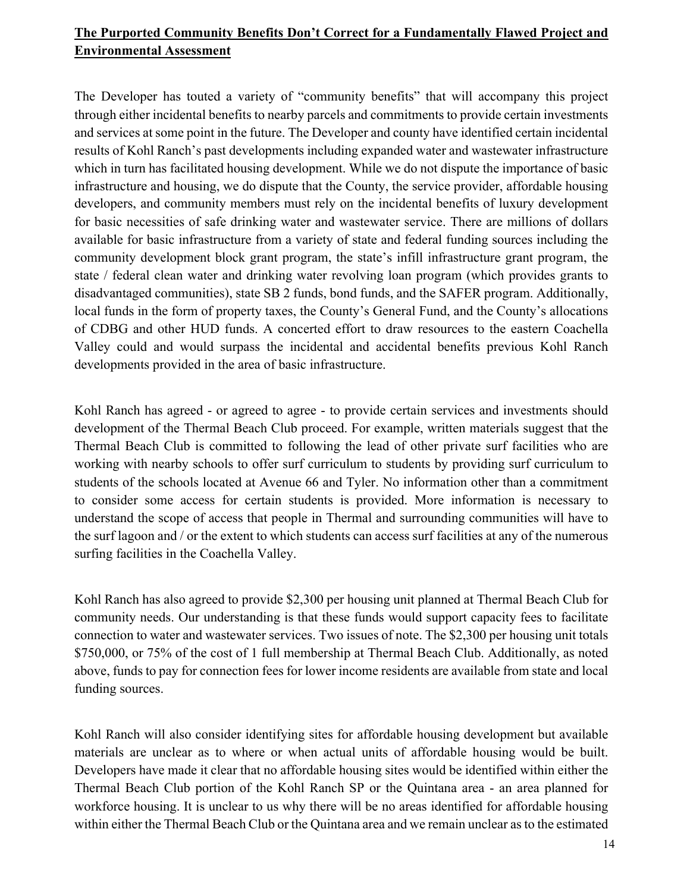# **The Purported Community Benefits Don't Correct for a Fundamentally Flawed Project and Environmental Assessment**

The Developer has touted a variety of "community benefits" that will accompany this project through either incidental benefits to nearby parcels and commitments to provide certain investments and services at some point in the future. The Developer and county have identified certain incidental results of Kohl Ranch's past developments including expanded water and wastewater infrastructure which in turn has facilitated housing development. While we do not dispute the importance of basic infrastructure and housing, we do dispute that the County, the service provider, affordable housing developers, and community members must rely on the incidental benefits of luxury development for basic necessities of safe drinking water and wastewater service. There are millions of dollars available for basic infrastructure from a variety of state and federal funding sources including the community development block grant program, the state's infill infrastructure grant program, the state / federal clean water and drinking water revolving loan program (which provides grants to disadvantaged communities), state SB 2 funds, bond funds, and the SAFER program. Additionally, local funds in the form of property taxes, the County's General Fund, and the County's allocations of CDBG and other HUD funds. A concerted effort to draw resources to the eastern Coachella Valley could and would surpass the incidental and accidental benefits previous Kohl Ranch developments provided in the area of basic infrastructure.

Kohl Ranch has agreed - or agreed to agree - to provide certain services and investments should development of the Thermal Beach Club proceed. For example, written materials suggest that the Thermal Beach Club is committed to following the lead of other private surf facilities who are working with nearby schools to offer surf curriculum to students by providing surf curriculum to students of the schools located at Avenue 66 and Tyler. No information other than a commitment to consider some access for certain students is provided. More information is necessary to understand the scope of access that people in Thermal and surrounding communities will have to the surf lagoon and / or the extent to which students can access surf facilities at any of the numerous surfing facilities in the Coachella Valley.

Kohl Ranch has also agreed to provide \$2,300 per housing unit planned at Thermal Beach Club for community needs. Our understanding is that these funds would support capacity fees to facilitate connection to water and wastewater services. Two issues of note. The \$2,300 per housing unit totals \$750,000, or 75% of the cost of 1 full membership at Thermal Beach Club. Additionally, as noted above, funds to pay for connection fees for lower income residents are available from state and local funding sources.

Kohl Ranch will also consider identifying sites for affordable housing development but available materials are unclear as to where or when actual units of affordable housing would be built. Developers have made it clear that no affordable housing sites would be identified within either the Thermal Beach Club portion of the Kohl Ranch SP or the Quintana area - an area planned for workforce housing. It is unclear to us why there will be no areas identified for affordable housing within either the Thermal Beach Club or the Quintana area and we remain unclear as to the estimated